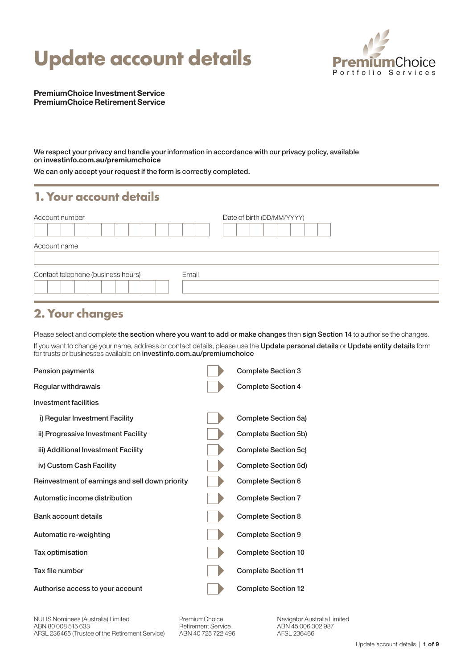# **Update account details**



PremiumChoice Investment Service PremiumChoice Retirement Service

We respect your privacy and handle your information in accordance with our privacy policy, available on [investinfo.com.au/premiumchoice](http://investinfo.com.au/premiumchoice)

We can only accept your request if the form is correctly completed.

#### **1. Your account details**

| Account number                              | Date of birth (DD/MM/YYYY) |
|---------------------------------------------|----------------------------|
| Account name                                |                            |
| Contact telephone (business hours)<br>Email |                            |

### **2. Your changes**

Please select and complete the section where you want to add or make changes then sign Section 14 to authorise the changes. If you want to change your name, address or contact details, please use the Update personal details or Update entity details form for trusts or businesses available on [investinfo.com.au/premiumchoice](http://investinfo.com.au/premiumchoice)

| Pension payments                                | <b>Complete Section 3</b>  |
|-------------------------------------------------|----------------------------|
| Regular withdrawals                             | <b>Complete Section 4</b>  |
| Investment facilities                           |                            |
| i) Regular Investment Facility                  | Complete Section 5a)       |
| ii) Progressive Investment Facility             | Complete Section 5b)       |
| iii) Additional Investment Facility             | Complete Section 5c)       |
| iv) Custom Cash Facility                        | Complete Section 5d)       |
| Reinvestment of earnings and sell down priority | <b>Complete Section 6</b>  |
| Automatic income distribution                   | <b>Complete Section 7</b>  |
| Bank account details                            | Complete Section 8         |
| Automatic re-weighting                          | <b>Complete Section 9</b>  |
| Tax optimisation                                | <b>Complete Section 10</b> |
| Tax file number                                 | <b>Complete Section 11</b> |
| Authorise access to your account                | <b>Complete Section 12</b> |

NULIS Nominees (Australia) Limited ABN 80 008 515 633 AFSL 236465 (Trustee of the Retirement Service) PremiumChoice Retirement Service ABN 40 725 722 496 Navigator Australia Limited ABN 45 006 302 987 AFSL 236466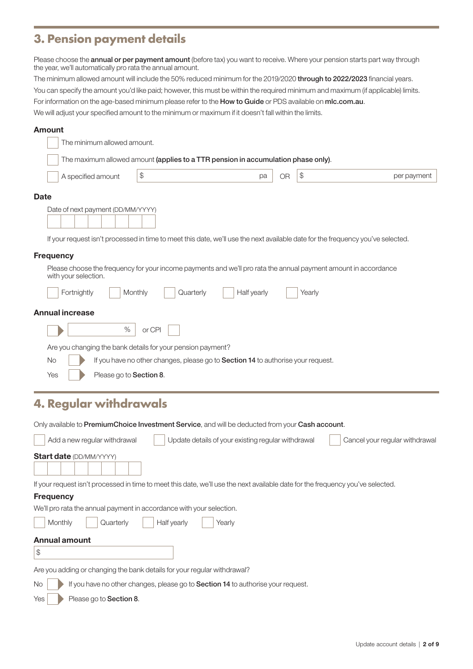## **3. Pension payment details**

Please choose the **annual or per payment amount** (before tax) you want to receive. Where your pension starts part way through the year, we'll automatically pro rata the annual amount.

The minimum allowed amount will include the 50% reduced minimum for the 2019/2020 through to 2022/2023 financial years. You can specify the amount you'd like paid; however, this must be within the required minimum and maximum (if applicable) limits. For information on the age-based minimum please refer to the How to Guide or PDS available on mic.com.au. We will adjust your specified amount to the minimum or maximum if it doesn't fall within the limits.

#### Amount

|                  | The minimum allowed amount.                                                                                                                                          |                                                                                  |                                                    |    |                |                                |
|------------------|----------------------------------------------------------------------------------------------------------------------------------------------------------------------|----------------------------------------------------------------------------------|----------------------------------------------------|----|----------------|--------------------------------|
|                  | The maximum allowed amount (applies to a TTR pension in accumulation phase only).                                                                                    |                                                                                  |                                                    |    |                |                                |
|                  | A specified amount                                                                                                                                                   | $$\mathbb{S}$$                                                                   | рa                                                 | OR | $$\mathbb{S}$$ | per payment                    |
| <b>Date</b>      |                                                                                                                                                                      |                                                                                  |                                                    |    |                |                                |
|                  | Date of next payment (DD/MM/YYYY)<br>If your request isn't processed in time to meet this date, we'll use the next available date for the frequency you've selected. |                                                                                  |                                                    |    |                |                                |
| <b>Frequency</b> |                                                                                                                                                                      |                                                                                  |                                                    |    |                |                                |
|                  | Please choose the frequency for your income payments and we'll pro rata the annual payment amount in accordance<br>with your selection.                              |                                                                                  |                                                    |    |                |                                |
|                  | Fortnightly                                                                                                                                                          | Monthly<br>Quarterly                                                             | Half yearly                                        |    | Yearly         |                                |
|                  | <b>Annual increase</b>                                                                                                                                               |                                                                                  |                                                    |    |                |                                |
|                  | $\%$                                                                                                                                                                 | or CPI                                                                           |                                                    |    |                |                                |
|                  | Are you changing the bank details for your pension payment?                                                                                                          |                                                                                  |                                                    |    |                |                                |
| <b>No</b>        |                                                                                                                                                                      | If you have no other changes, please go to Section 14 to authorise your request. |                                                    |    |                |                                |
| Yes              | Please go to Section 8.                                                                                                                                              |                                                                                  |                                                    |    |                |                                |
|                  | <b>4. Regular withdrawals</b>                                                                                                                                        |                                                                                  |                                                    |    |                |                                |
|                  | Only available to PremiumChoice Investment Service, and will be deducted from your Cash account.                                                                     |                                                                                  |                                                    |    |                |                                |
|                  | Add a new regular withdrawal                                                                                                                                         |                                                                                  | Update details of your existing regular withdrawal |    |                | Cancel your regular withdrawal |
|                  | <b>Start date (DD/MM/YYYY)</b>                                                                                                                                       |                                                                                  |                                                    |    |                |                                |
|                  | If your request isn't processed in time to meet this date, we'll use the next available date for the frequency you've selected.                                      |                                                                                  |                                                    |    |                |                                |

**Frequency** 

We'll pro rata the annual payment in accordance with your selection.

| Monthly       | Quarterly | Half yearly | Yearly |  |
|---------------|-----------|-------------|--------|--|
| Annual amount |           |             |        |  |

### \$

Are you adding or changing the bank details for your regular withdrawal?

No **If you have no other changes, please go to Section 14** to authorise your request.

 $Yes \rightarrow Please go to Section 8.$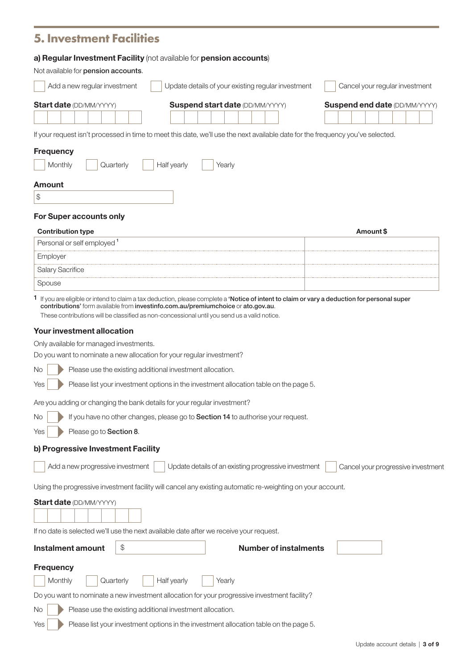| <b>5. Investment Facilities</b>                                                                                                                                                                                                                                                                                          |                                                    |                                                      |  |  |          |  |                                      |
|--------------------------------------------------------------------------------------------------------------------------------------------------------------------------------------------------------------------------------------------------------------------------------------------------------------------------|----------------------------------------------------|------------------------------------------------------|--|--|----------|--|--------------------------------------|
| a) Regular Investment Facility (not available for pension accounts)                                                                                                                                                                                                                                                      |                                                    |                                                      |  |  |          |  |                                      |
| Not available for pension accounts.                                                                                                                                                                                                                                                                                      |                                                    |                                                      |  |  |          |  |                                      |
| Add a new regular investment                                                                                                                                                                                                                                                                                             | Update details of your existing regular investment | Cancel your regular investment                       |  |  |          |  |                                      |
| <b>Start date (DD/MM/YYYY)</b><br><b>Suspend start date (DD/MM/YYYY)</b>                                                                                                                                                                                                                                                 |                                                    |                                                      |  |  |          |  | <b>Suspend end date (DD/MM/YYYY)</b> |
|                                                                                                                                                                                                                                                                                                                          |                                                    |                                                      |  |  |          |  |                                      |
| If your request isn't processed in time to meet this date, we'll use the next available date for the frequency you've selected.                                                                                                                                                                                          |                                                    |                                                      |  |  |          |  |                                      |
| <b>Frequency</b>                                                                                                                                                                                                                                                                                                         |                                                    |                                                      |  |  |          |  |                                      |
| Monthly<br>Quarterly<br>Half yearly                                                                                                                                                                                                                                                                                      | Yearly                                             |                                                      |  |  |          |  |                                      |
|                                                                                                                                                                                                                                                                                                                          |                                                    |                                                      |  |  |          |  |                                      |
| Amount<br>$\, \, \raisebox{12pt}{$\scriptstyle \circ$}$                                                                                                                                                                                                                                                                  |                                                    |                                                      |  |  |          |  |                                      |
|                                                                                                                                                                                                                                                                                                                          |                                                    |                                                      |  |  |          |  |                                      |
| <b>For Super accounts only</b>                                                                                                                                                                                                                                                                                           |                                                    |                                                      |  |  |          |  |                                      |
| <b>Contribution type</b>                                                                                                                                                                                                                                                                                                 |                                                    |                                                      |  |  | Amount\$ |  |                                      |
| Personal or self employed <sup>1</sup><br>Employer                                                                                                                                                                                                                                                                       |                                                    |                                                      |  |  |          |  |                                      |
| Salary Sacrifice                                                                                                                                                                                                                                                                                                         |                                                    |                                                      |  |  |          |  |                                      |
| Spouse                                                                                                                                                                                                                                                                                                                   |                                                    |                                                      |  |  |          |  |                                      |
| These contributions will be classified as non-concessional until you send us a valid notice.<br><b>Your investment allocation</b><br>Only available for managed investments.<br>Do you want to nominate a new allocation for your regular investment?<br>Please use the existing additional investment allocation.<br>No |                                                    |                                                      |  |  |          |  |                                      |
| Please list your investment options in the investment allocation table on the page 5.<br>Yes                                                                                                                                                                                                                             |                                                    |                                                      |  |  |          |  |                                      |
| Are you adding or changing the bank details for your regular investment?                                                                                                                                                                                                                                                 |                                                    |                                                      |  |  |          |  |                                      |
| If you have no other changes, please go to Section 14 to authorise your request.<br>No                                                                                                                                                                                                                                   |                                                    |                                                      |  |  |          |  |                                      |
| Please go to Section 8.<br>Yes                                                                                                                                                                                                                                                                                           |                                                    |                                                      |  |  |          |  |                                      |
| b) Progressive Investment Facility                                                                                                                                                                                                                                                                                       |                                                    |                                                      |  |  |          |  |                                      |
| Add a new progressive investment                                                                                                                                                                                                                                                                                         |                                                    | Update details of an existing progressive investment |  |  |          |  | Cancel your progressive investment   |
| Using the progressive investment facility will cancel any existing automatic re-weighting on your account.                                                                                                                                                                                                               |                                                    |                                                      |  |  |          |  |                                      |
| <b>Start date (DD/MM/YYYY)</b>                                                                                                                                                                                                                                                                                           |                                                    |                                                      |  |  |          |  |                                      |
|                                                                                                                                                                                                                                                                                                                          |                                                    |                                                      |  |  |          |  |                                      |
| If no date is selected we'll use the next available date after we receive your request.                                                                                                                                                                                                                                  |                                                    |                                                      |  |  |          |  |                                      |
| \$<br><b>Instalment amount</b>                                                                                                                                                                                                                                                                                           |                                                    | <b>Number of instalments</b>                         |  |  |          |  |                                      |
| <b>Frequency</b>                                                                                                                                                                                                                                                                                                         |                                                    |                                                      |  |  |          |  |                                      |
| Half yearly<br>Monthly<br>Quarterly                                                                                                                                                                                                                                                                                      | Yearly                                             |                                                      |  |  |          |  |                                      |
| Do you want to nominate a new investment allocation for your progressive investment facility?                                                                                                                                                                                                                            |                                                    |                                                      |  |  |          |  |                                      |
| Please use the existing additional investment allocation.<br>No                                                                                                                                                                                                                                                          |                                                    |                                                      |  |  |          |  |                                      |
| Please list your investment options in the investment allocation table on the page 5.<br>Yes                                                                                                                                                                                                                             |                                                    |                                                      |  |  |          |  |                                      |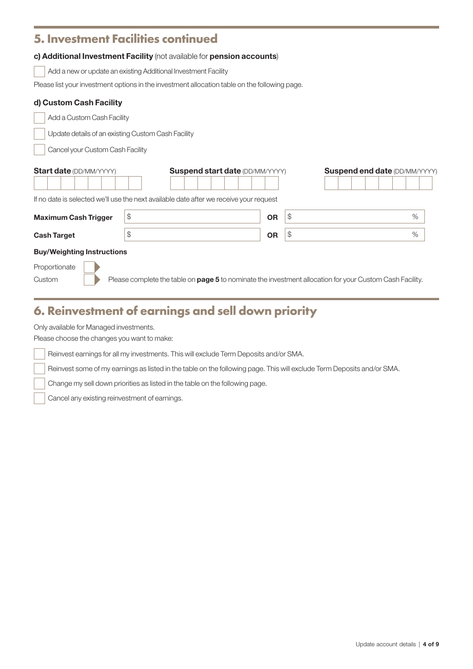#### **5. Investment Facilities continued**

#### c) Additional Investment Facility (not available for pension accounts)

Add a new or update an existing Additional Investment Facility

Please list your investment options in the investment allocation table on the following page.

#### d) Custom Cash Facility

Add a Custom Cash Facility

I Update details of an existing Custom Cash Facility

I Cancel your Custom Cash Facility

| <b>Start date (DD/MM/YYYY)</b>                                                         |    | <b>Suspend start date (DD/MM/YYYY)</b>                                                                          |           | <b>Suspend end date (DD/MM/YYYY)</b> |  |  |      |
|----------------------------------------------------------------------------------------|----|-----------------------------------------------------------------------------------------------------------------|-----------|--------------------------------------|--|--|------|
| If no date is selected we'll use the next available date after we receive your request |    |                                                                                                                 |           |                                      |  |  |      |
| <b>Maximum Cash Trigger</b>                                                            | \$ |                                                                                                                 | <b>OR</b> | \$                                   |  |  | $\%$ |
| <b>Cash Target</b>                                                                     |    |                                                                                                                 | <b>OR</b> | \$                                   |  |  | $\%$ |
| <b>Buy/Weighting Instructions</b>                                                      |    |                                                                                                                 |           |                                      |  |  |      |
| Proportionate                                                                          |    |                                                                                                                 |           |                                      |  |  |      |
| Custom                                                                                 |    | Please complete the table on <b>page 5</b> to nominate the investment allocation for your Custom Cash Facility. |           |                                      |  |  |      |

### **6. Reinvestment of earnings and sell down priority**

Only available for Managed investments.

I

Please choose the changes you want to make:

I Reinvest earnings for all my investments. This will exclude Term Deposits and/or SMA.

I Reinvest some of my earnings as listed in the table on the following page. This will exclude Term Deposits and/or SMA.

I Change my sell down priorities as listed in the table on the following page.

Cancel any existing reinvestment of earnings.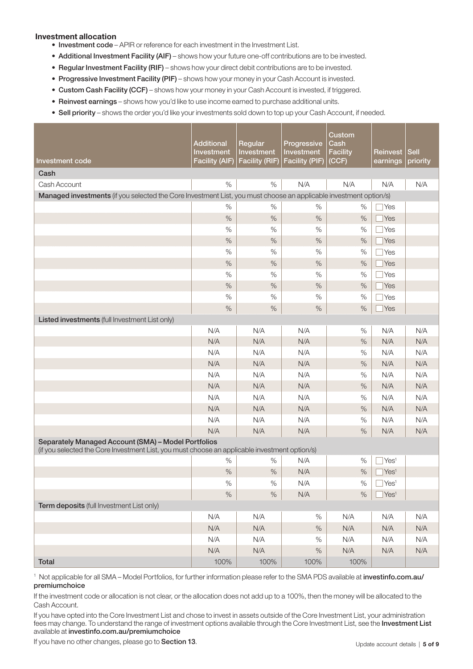#### Investment allocation

- Investment code APIR or reference for each investment in the Investment List.
- Additional Investment Facility (AIF) shows how your future one-off contributions are to be invested.
- Regular Investment Facility (RIF) shows how your direct debit contributions are to be invested.
- Progressive Investment Facility (PIF) shows how your money in your Cash Account is invested.
- Custom Cash Facility (CCF) shows how your money in your Cash Account is invested, if triggered.
- Reinvest earnings shows how you'd like to use income earned to purchase additional units.
- Sell priority shows the order you'd like your investments sold down to top up your Cash Account, if needed.

| Investment code                                                                                                                                      | <b>Additional</b><br><b>Investment</b><br><b>Facility (AIF)</b> | Regular<br>Investment<br><b>Facility (RIF)</b> | Progressive<br>Investment<br><b>Facility (PIF)</b> | Custom<br>Cash<br><b>Facility</b><br>(CCF) | Reinvest<br>earnings | <b>Sell</b><br>priority |  |
|------------------------------------------------------------------------------------------------------------------------------------------------------|-----------------------------------------------------------------|------------------------------------------------|----------------------------------------------------|--------------------------------------------|----------------------|-------------------------|--|
| Cash                                                                                                                                                 |                                                                 |                                                |                                                    |                                            |                      |                         |  |
| Cash Account                                                                                                                                         | $\%$                                                            | $\%$                                           | N/A                                                | N/A                                        | N/A                  | N/A                     |  |
| Managed investments (if you selected the Core Investment List, you must choose an applicable investment option/s)                                    |                                                                 |                                                |                                                    |                                            |                      |                         |  |
|                                                                                                                                                      | $\%$                                                            | $\%$                                           | %                                                  | $\%$                                       | Yes                  |                         |  |
|                                                                                                                                                      | $\%$                                                            | $\%$                                           | $\%$                                               | $\%$                                       | Yes                  |                         |  |
|                                                                                                                                                      | $\%$                                                            | $\%$                                           | $\%$                                               | $\%$                                       | Yes                  |                         |  |
|                                                                                                                                                      | $\%$                                                            | $\%$                                           | $\%$                                               | $\%$                                       | Yes                  |                         |  |
|                                                                                                                                                      | $\%$                                                            | $\%$                                           | $\%$                                               | $\%$                                       | Yes                  |                         |  |
|                                                                                                                                                      | $\%$                                                            | $\%$                                           | $\%$                                               | $\%$                                       | Yes                  |                         |  |
|                                                                                                                                                      | %                                                               | $\%$                                           | $\%$                                               | $\%$                                       | Yes                  |                         |  |
|                                                                                                                                                      | $\%$                                                            | $\%$                                           | $\%$                                               | $\%$                                       | Yes                  |                         |  |
|                                                                                                                                                      | $\%$                                                            | $\%$                                           | $\%$                                               | $\%$                                       | Yes                  |                         |  |
|                                                                                                                                                      | $\%$                                                            | $\%$                                           | $\%$                                               | $\%$                                       | Yes                  |                         |  |
| Listed investments (full Investment List only)                                                                                                       |                                                                 |                                                |                                                    |                                            |                      |                         |  |
|                                                                                                                                                      | N/A                                                             | N/A                                            | N/A                                                | $\%$                                       | N/A                  | N/A                     |  |
|                                                                                                                                                      | N/A                                                             | N/A                                            | N/A                                                | $\%$                                       | N/A                  | N/A                     |  |
|                                                                                                                                                      | N/A                                                             | N/A                                            | N/A                                                | $\%$                                       | N/A                  | N/A                     |  |
|                                                                                                                                                      | N/A                                                             | N/A                                            | N/A                                                | $\%$                                       | N/A                  | N/A                     |  |
|                                                                                                                                                      | N/A                                                             | N/A                                            | N/A                                                | $\%$                                       | N/A                  | N/A                     |  |
|                                                                                                                                                      | N/A                                                             | N/A                                            | N/A                                                | $\%$                                       | N/A                  | N/A                     |  |
|                                                                                                                                                      | N/A                                                             | N/A                                            | N/A                                                | $\%$                                       | N/A                  | N/A                     |  |
|                                                                                                                                                      | N/A                                                             | N/A                                            | N/A                                                | $\%$                                       | N/A                  | N/A                     |  |
|                                                                                                                                                      | N/A                                                             | N/A                                            | N/A                                                | $\%$                                       | N/A                  | N/A                     |  |
|                                                                                                                                                      | N/A                                                             | N/A                                            | N/A                                                | $\%$                                       | N/A                  | N/A                     |  |
| Separately Managed Account (SMA) - Model Portfolios<br>(if you selected the Core Investment List, you must choose an applicable investment option/s) |                                                                 |                                                |                                                    |                                            |                      |                         |  |
|                                                                                                                                                      | $\%$                                                            | $\%$                                           | N/A                                                | %                                          | Yes <sup>1</sup>     |                         |  |
|                                                                                                                                                      | $\%$                                                            | $\%$                                           | N/A                                                | $\%$                                       | Yes <sup>1</sup>     |                         |  |
|                                                                                                                                                      | %                                                               | %                                              | N/A                                                | %                                          | $\text{Yes}^1$       |                         |  |
|                                                                                                                                                      | $\%$                                                            | $\%$                                           | N/A                                                | $\%$                                       | Yes <sup>1</sup>     |                         |  |
| Term deposits (full Investment List only)                                                                                                            |                                                                 |                                                |                                                    |                                            |                      |                         |  |
|                                                                                                                                                      | N/A                                                             | N/A                                            | $\%$                                               | N/A                                        | N/A                  | N/A                     |  |
|                                                                                                                                                      | N/A                                                             | N/A                                            | $\%$                                               | N/A                                        | N/A                  | N/A                     |  |
|                                                                                                                                                      | N/A                                                             | N/A                                            | $\%$                                               | N/A                                        | N/A                  | N/A                     |  |
|                                                                                                                                                      | N/A                                                             | N/A                                            | $\%$                                               | N/A                                        | N/A                  | N/A                     |  |
| <b>Total</b>                                                                                                                                         | 100%                                                            | 100%                                           | 100%                                               | 100%                                       |                      |                         |  |

1 Not applicable for all SMA – Model Portfolios, for further information please refer to the SMA PDS available at [investinfo.com.au/](http://investinfo.com.au/premiumchoice) [premiumchoice](http://investinfo.com.au/premiumchoice)

If the investment code or allocation is not clear, or the allocation does not add up to a 100%, then the money will be allocated to the Cash Account.

If you have opted into the Core Investment List and chose to invest in assets outside of the Core Investment List, your administration fees may change. To understand the range of investment options available through the Core Investment List, see the Investment List available at [investinfo.com.au/premiumchoice](http://investinfo.com.au/premiumchoice)

If you have no other changes, please go to Section 13.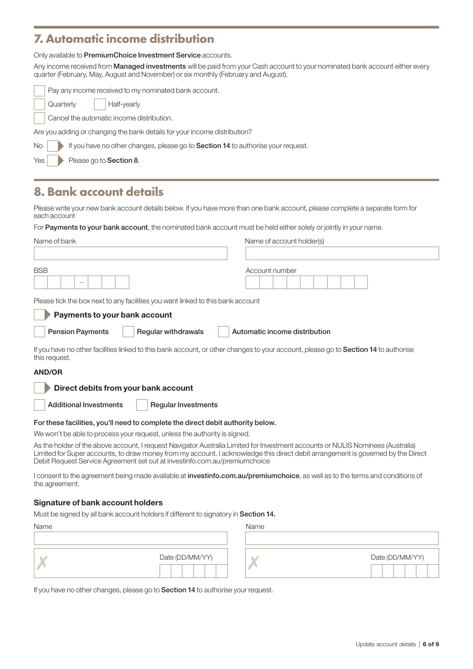### **7. Automatic income distribution**

Only available to PremiumChoice Investment Service accounts.

Any income received from Managed investments will be paid from your Cash account to your nominated bank account either every quarter (February, May, August and November) or six monthly (February and August).

|     | Pay any income received to my nominated bank account.                            |
|-----|----------------------------------------------------------------------------------|
|     | Quarterly<br>Half-yearly                                                         |
|     | Cancel the automatic income distribution.                                        |
|     | Are you adding or changing the bank details for your income distribution?        |
| No  | If you have no other changes, please go to Section 14 to authorise your request. |
| Yes | Please go to Section 8.                                                          |
|     |                                                                                  |

### **8. Bank account details**

Please write your new bank account details below. If you have more than one bank account, please complete a separate form for each account

For Payments to your bank account, the nominated bank account must be held either solely or jointly in your name.

| Name of bank                                                                                                                                                                                                                                                                                                                                      | Name of account holder(s)     |
|---------------------------------------------------------------------------------------------------------------------------------------------------------------------------------------------------------------------------------------------------------------------------------------------------------------------------------------------------|-------------------------------|
|                                                                                                                                                                                                                                                                                                                                                   |                               |
| <b>BSB</b>                                                                                                                                                                                                                                                                                                                                        | Account number                |
| Please tick the box next to any facilities you want linked to this bank account                                                                                                                                                                                                                                                                   |                               |
| Payments to your bank account                                                                                                                                                                                                                                                                                                                     |                               |
| <b>Pension Payments</b><br>Regular withdrawals                                                                                                                                                                                                                                                                                                    | Automatic income distribution |
| If you have no other facilities linked to this bank account, or other changes to your account, please go to Section 14 to authorise<br>this request.                                                                                                                                                                                              |                               |
| <b>AND/OR</b>                                                                                                                                                                                                                                                                                                                                     |                               |
| Direct debits from your bank account                                                                                                                                                                                                                                                                                                              |                               |
| <b>Additional Investments</b><br><b>Regular Investments</b>                                                                                                                                                                                                                                                                                       |                               |
| For these facilities, you'll need to complete the direct debit authority below.                                                                                                                                                                                                                                                                   |                               |
| We won't be able to process your request, unless the authority is signed.                                                                                                                                                                                                                                                                         |                               |
| As the holder of the above account, I request Navigator Australia Limited for Investment accounts or NULIS Nominees (Australia)<br>Limited for Super accounts, to draw money from my account. I acknowledge this direct debit arrangement is governed by the Direct<br>Debit Request Service Agreement set out at investinfo.com.au/premiumchoice |                               |
| Loopeant to the agreement being made available at <b>investinte com auforemiumeboice</b> as well ge to the terms and conditions of                                                                                                                                                                                                                |                               |

I consent to the agreement being made available at **[investinfo.com.au/premiumchoice](http://investinfo.com.au/premiumchoice)**, as well as to the terms and conditions of the agreement.

#### Signature of bank account holders

Must be signed by all bank account holders if different to signatory in Section 14.

| Name |                 | Name |                 |
|------|-----------------|------|-----------------|
|      |                 |      |                 |
|      | Date (DD/MM/YY) | A.   | Date (DD/MM/YY) |

If you have no other changes, please go to Section 14 to authorise your request.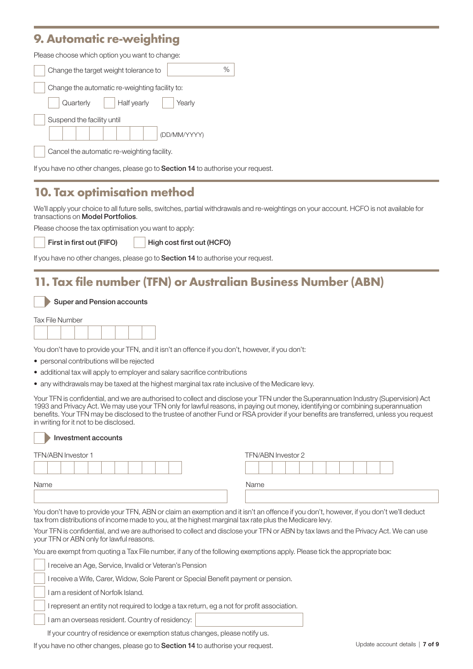### **9. Automatic re-weighting**

| Please choose which option you want to change: |  |  |  |  |  |
|------------------------------------------------|--|--|--|--|--|
| %<br>Change the target weight tolerance to     |  |  |  |  |  |
| Change the automatic re-weighting facility to: |  |  |  |  |  |
| Quarterly<br>Half yearly<br>Yearly             |  |  |  |  |  |
| Suspend the facility until                     |  |  |  |  |  |
| (DD/MM/YYYY)                                   |  |  |  |  |  |
| Cancel the automatic re-weighting facility.    |  |  |  |  |  |

If you have no other changes, please go to Section 14 to authorise your request.

### **10. Tax optimisation method**

We'll apply your choice to all future sells, switches, partial withdrawals and re-weightings on your account. HCFO is not available for transactions on Model Portfolios.

Please choose the tax optimisation you want to apply:

First in first out (FIFO)

I

High cost first out (HCFO)

If you have no other changes, please go to **Section 14** to authorise your request.

### **11. Tax file number (TFN) or Australian Business Number (ABN)**

|  |  |  |  | Super and Pension accounts |
|--|--|--|--|----------------------------|
|--|--|--|--|----------------------------|

| Tax File Number |
|-----------------|
|-----------------|

You don't have to provide your TFN, and it isn't an offence if you don't, however, if you don't:

- personal contributions will be rejected
- additional tax will apply to employer and salary sacrifice contributions
- any withdrawals may be taxed at the highest marginal tax rate inclusive of the Medicare levy.

Your TFN is confidential, and we are authorised to collect and disclose your TFN under the Superannuation Industry (Supervision) Act 1993 and Privacy Act. We may use your TFN only for lawful reasons, in paying out money, identifying or combining superannuation benefits. Your TFN may be disclosed to the trustee of another Fund or RSA provider if your benefits are transferred, unless you request in writing for it not to be disclosed.

#### Investment accounts

| TFN/ABN Investor 1 | TFN/ABN Investor 2 |
|--------------------|--------------------|
|                    |                    |
| Name               | Name               |
|                    |                    |

You don't have to provide your TFN, ABN or claim an exemption and it isn't an offence if you don't, however, if you don't we'll deduct tax from distributions of income made to you, at the highest marginal tax rate plus the Medicare levy.

Your TFN is confidential, and we are authorised to collect and disclose your TFN or ABN by tax laws and the Privacy Act. We can use your TFN or ABN only for lawful reasons.

You are exempt from quoting a Tax File number, if any of the following exemptions apply. Please tick the appropriate box:

I receive an Age, Service, Invalid or Veteran's Pension

I receive a Wife, Carer, Widow, Sole Parent or Special Benefit payment or pension.

I am a resident of Norfolk Island.

I represent an entity not required to lodge a tax return, eg a not for profit association.

I am an overseas resident. Country of residency:

If your country of residence or exemption status changes, please notify us.

If you have no other changes, please go to Section 14 to authorise your request.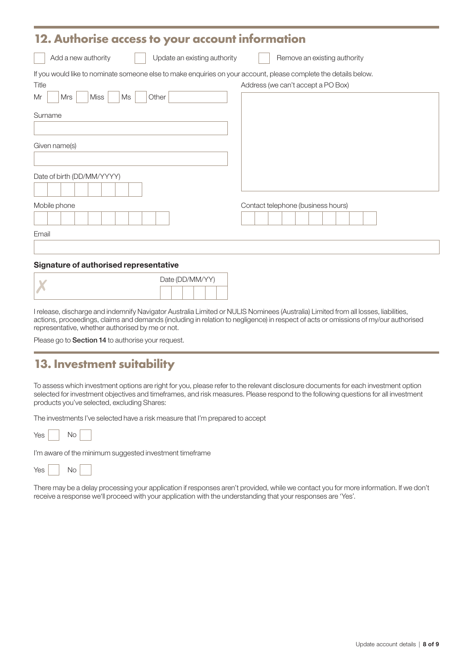#### **12. Authorise access to your account information**

Add a new authority Update an existing authority Remove an existing authority

If you would like to nominate someone else to make enquiries on your account, please complete the details below.

| Title                            | Address (we can't accept a PO Box) |
|----------------------------------|------------------------------------|
| Mr<br>Miss<br>Ms<br>Other<br>Mrs |                                    |
| Surname                          |                                    |
|                                  |                                    |
| Given name(s)                    |                                    |
|                                  |                                    |
| Date of birth (DD/MM/YYYY)       |                                    |
| Mobile phone                     | Contact telephone (business hours) |
|                                  |                                    |
| Email                            |                                    |
|                                  |                                    |

#### Signature of authorised representative

|  | Date (DD/MM/YY) |  |  |
|--|-----------------|--|--|
|  |                 |  |  |

I release, discharge and indemnify Navigator Australia Limited or NULIS Nominees (Australia) Limited from all losses, liabilities, actions, proceedings, claims and demands (including in relation to negligence) in respect of acts or omissions of my/our authorised representative, whether authorised by me or not.

Please go to **Section 14** to authorise your request.

### **13. Investment suitability**

To assess which investment options are right for you, please refer to the relevant disclosure documents for each investment option selected for investment objectives and timeframes, and risk measures. Please respond to the following questions for all investment products you've selected, excluding Shares:

The investments I've selected have a risk measure that I'm prepared to accept

| \ / ~ ~<br>אם ׳ | N∩ |  |
|-----------------|----|--|
|-----------------|----|--|

I'm aware of the minimum suggested investment timeframe

| <b>Yes</b> |  | Nο |  |
|------------|--|----|--|
|------------|--|----|--|

There may be a delay processing your application if responses aren't provided, while we contact you for more information. If we don't receive a response we'll proceed with your application with the understanding that your responses are 'Yes'.